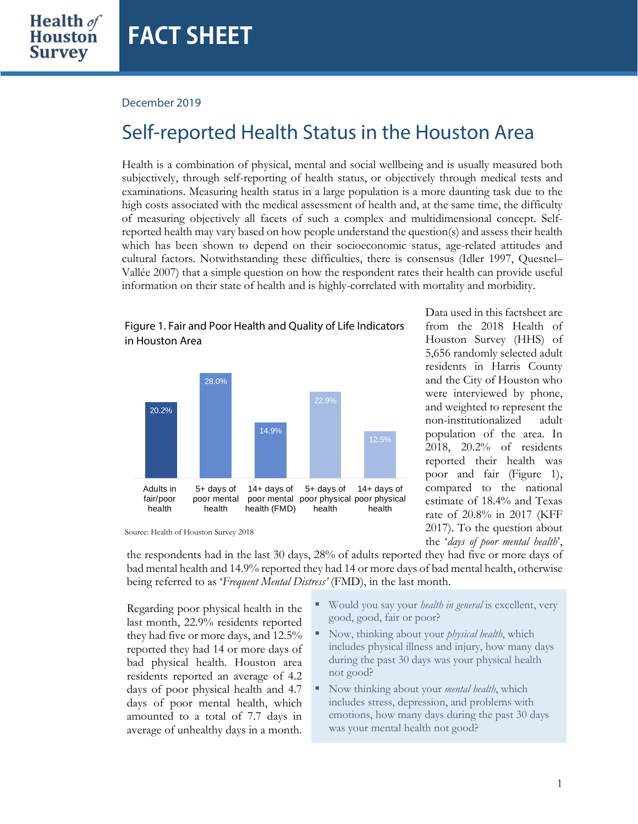## December 2019

in Houston Area

## Self-reported Health Status in the Houston Area

Health is a combination of physical, mental and social wellbeing and is usually measured both subjectively, through self-reporting of health status, or objectively through medical tests and examinations. Measuring health status in a large population is a more daunting task due to the high costs associated with the medical assessment of health and, at the same time, the difficulty of measuring objectively all facets of such a complex and multidimensional concept. Selfreported health may vary based on how people understand the question(s) and assess their health which has been shown to depend on their socioeconomic status, age-related attitudes and cultural factors. Notwithstanding these difficulties, there is consensus (Idler 1997, Quesnel– Vallée 2007) that a simple question on how the respondent rates their health can provide useful information on their state of health and is highly-correlated with mortality and morbidity.



Figure 1. Fair and Poor Health and Quality of Life Indicators

Data used in this factsheet are from the 2018 Health of Houston Survey (HHS) of 5,656 randomly selected adult residents in Harris County and the City of Houston who were interviewed by phone, and weighted to represent the non-institutionalized adult population of the area. In 2018, 20.2% of residents reported their health was poor and fair (Figure 1), compared to the national estimate of 18.4% and Texas rate of 20.8% in 2017 (KFF 2017). To the question about

the '*days of poor mental health*',

Source: Health of Houston Survey 2018

the respondents had in the last 30 days, 28% of adults reported they had five or more days of bad mental health and 14.9% reported they had 14 or more days of bad mental health, otherwise being referred to as '*Frequent Mental Distress'* (FMD), in the last month.

Regarding poor physical health in the last month, 22.9% residents reported they had five or more days, and 12.5% reported they had 14 or more days of bad physical health. Houston area residents reported an average of 4.2 days of poor physical health and 4.7 days of poor mental health, which amounted to a total of 7.7 days in average of unhealthy days in a month.

- Would you say your *health in general* is excellent, very good, good, fair or poor?
- Now, thinking about your *physical health*, which includes physical illness and injury, how many days during the past 30 days was your physical health not good?
- Now thinking about your *mental health*, which includes stress, depression, and problems with emotions, how many days during the past 30 days was your mental health not good?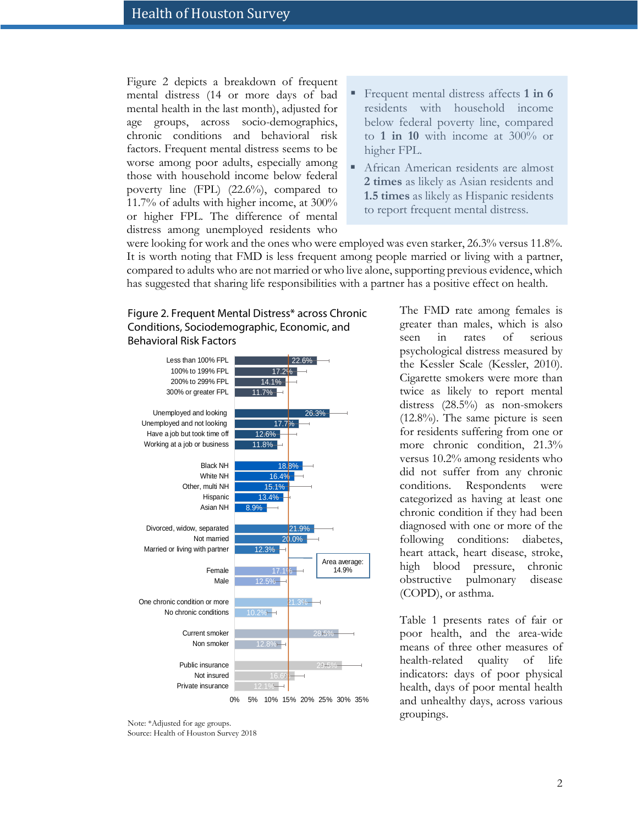Figure 2 depicts a breakdown of frequent mental distress (14 or more days of bad mental health in the last month), adjusted for age groups, across socio-demographics, chronic conditions and behavioral risk factors. Frequent mental distress seems to be worse among poor adults, especially among those with household income below federal poverty line (FPL) (22.6%), compared to 11.7% of adults with higher income, at 300% or higher FPL. The difference of mental distress among unemployed residents who

- Frequent mental distress affects **1 in 6** residents with household income below federal poverty line, compared to **1 in 10** with income at 300% or higher FPL.
- African American residents are almost **2 times** as likely as Asian residents and **1.5 times** as likely as Hispanic residents to report frequent mental distress.

were looking for work and the ones who were employed was even starker, 26.3% versus 11.8%. It is worth noting that FMD is less frequent among people married or living with a partner, compared to adults who are not married or who live alone, supporting previous evidence, which has suggested that sharing life responsibilities with a partner has a positive effect on health.





<sup>0%</sup> 5% 10% 15% 20% 25% 30% 35%

The FMD rate among females is greater than males, which is also seen in rates of serious psychological distress measured by the Kessler Scale (Kessler, 2010). Cigarette smokers were more than twice as likely to report mental distress (28.5%) as non-smokers (12.8%). The same picture is seen for residents suffering from one or more chronic condition, 21.3% versus 10.2% among residents who did not suffer from any chronic conditions. Respondents were categorized as having at least one chronic condition if they had been diagnosed with one or more of the following conditions: diabetes, heart attack, heart disease, stroke, high blood pressure, chronic obstructive pulmonary disease (COPD), or asthma.

Table 1 presents rates of fair or poor health, and the area-wide means of three other measures of health-related quality of life indicators: days of poor physical health, days of poor mental health and unhealthy days, across various groupings.

Note: \*Adjusted for age groups. Source: Health of Houston Survey 2018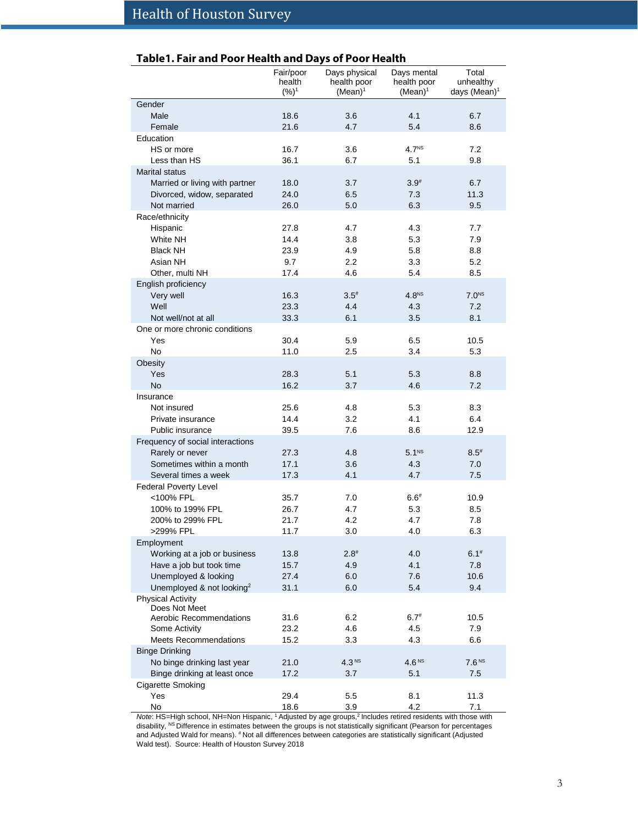| Table1. Fair and Poor Health and Days of Poor Health |  |
|------------------------------------------------------|--|
|------------------------------------------------------|--|

|                                       | Fair/poor<br>health<br>$(%)^1$ | Days physical<br>health poor<br>$(Mean)^1$ | Days mental<br>health poor<br>$(Mean)^1$ | Total<br>unhealthy<br>days (Mean) <sup>1</sup> |
|---------------------------------------|--------------------------------|--------------------------------------------|------------------------------------------|------------------------------------------------|
| Gender                                |                                |                                            |                                          |                                                |
| Male                                  | 18.6                           | 3.6                                        | 4.1                                      | 6.7                                            |
| Female                                | 21.6                           | 4.7                                        | 5.4                                      | 8.6                                            |
| Education                             |                                |                                            |                                          |                                                |
| HS or more                            | 16.7                           | 3.6                                        | 4.7 <sup>NS</sup>                        | 7.2                                            |
| Less than HS                          | 36.1                           | 6.7                                        | 5.1                                      | 9.8                                            |
| <b>Marital status</b>                 |                                |                                            |                                          |                                                |
| Married or living with partner        | 18.0                           | 3.7                                        | $3.9^{#}$                                | 6.7                                            |
| Divorced, widow, separated            | 24.0                           | 6.5                                        | 7.3                                      | 11.3                                           |
| Not married                           | 26.0                           | 5.0                                        | 6.3                                      | 9.5                                            |
| Race/ethnicity                        |                                |                                            |                                          |                                                |
| Hispanic                              | 27.8                           | 4.7                                        | 4.3                                      | 7.7                                            |
| White NH                              | 14.4                           | 3.8                                        | 5.3                                      | 7.9                                            |
| <b>Black NH</b>                       | 23.9                           | 4.9                                        | 5.8                                      | 8.8                                            |
| Asian NH                              | 9.7                            | 2.2                                        | 3.3                                      | 5.2                                            |
| Other, multi NH                       | 17.4                           | 4.6                                        | 5.4                                      | 8.5                                            |
| English proficiency                   |                                |                                            |                                          |                                                |
| Very well                             | 16.3                           | $3.5^{#}$                                  | 4.8 <sup>NS</sup>                        | 7.0 <sup>NS</sup>                              |
| Well                                  | 23.3                           | 4.4                                        | 4.3                                      | 7.2                                            |
| Not well/not at all                   | 33.3                           | 6.1                                        | 3.5                                      | 8.1                                            |
| One or more chronic conditions        |                                |                                            |                                          |                                                |
| Yes                                   | 30.4                           | 5.9                                        | 6.5                                      | 10.5                                           |
| <b>No</b>                             | 11.0                           | 2.5                                        | 3.4                                      | 5.3                                            |
| Obesity                               |                                |                                            |                                          |                                                |
| Yes                                   | 28.3                           | 5.1                                        | 5.3                                      | 8.8                                            |
| <b>No</b>                             | 16.2                           | 3.7                                        | 4.6                                      | 7.2                                            |
| Insurance                             |                                |                                            |                                          |                                                |
| Not insured                           | 25.6                           | 4.8                                        | 5.3                                      | 8.3                                            |
| Private insurance                     | 14.4                           | 3.2                                        | 4.1                                      | 6.4                                            |
| Public insurance                      | 39.5                           | 7.6                                        | 8.6                                      | 12.9                                           |
| Frequency of social interactions      |                                |                                            |                                          |                                                |
| Rarely or never                       | 27.3                           | 4.8                                        | 5.1 <sup>NS</sup>                        | $8.5^{#}$                                      |
| Sometimes within a month              | 17.1                           | 3.6                                        | 4.3                                      | 7.0                                            |
| Several times a week                  | 17.3                           | 4.1                                        | 4.7                                      | 7.5                                            |
| <b>Federal Poverty Level</b>          |                                |                                            |                                          |                                                |
| <100% FPL                             | 35.7                           | 7.0                                        | $6.6^{#}$                                | 10.9                                           |
| 100% to 199% FPL                      | 26.7                           | 4.7                                        | 5.3                                      | 8.5                                            |
| 200% to 299% FPL                      | 21.7                           | 4.2                                        | 4.7                                      | 7.8                                            |
| >299% FPL                             | 11.7                           | 3.0                                        | 4.0                                      | 6.3                                            |
| Employment                            |                                |                                            |                                          |                                                |
| Working at a job or business          | 13.8                           | $2.8^{#}$                                  | 4.0                                      | $6.1^{#}$                                      |
| Have a job but took time              | 15.7                           | 4.9                                        | 4.1                                      | 7.8                                            |
| Unemployed & looking                  | 27.4                           | 6.0                                        | 7.6                                      | 10.6                                           |
| Unemployed & not looking <sup>2</sup> | 31.1                           | 6.0                                        | 5.4                                      | 9.4                                            |
| <b>Physical Activity</b>              |                                |                                            |                                          |                                                |
| Does Not Meet                         |                                |                                            |                                          |                                                |
| Aerobic Recommendations               | 31.6                           | 6.2                                        | $6.7^{#}$                                | 10.5                                           |
| Some Activity                         | 23.2                           | 4.6                                        | 4.5                                      | 7.9                                            |
| <b>Meets Recommendations</b>          | 15.2                           | 3.3                                        | 4.3                                      | 6.6                                            |
| <b>Binge Drinking</b>                 |                                |                                            |                                          |                                                |
| No binge drinking last year           | 21.0                           | 4.3 <sup>NS</sup>                          | 4.6 <sup>NS</sup>                        | 7.6 <sup>NS</sup>                              |
| Binge drinking at least once          | 17.2                           | 3.7                                        | 5.1                                      | 7.5                                            |
| Cigarette Smoking                     |                                |                                            |                                          |                                                |
| Yes                                   | 29.4                           | 5.5                                        | 8.1                                      | 11.3                                           |
| No                                    | 18.6                           | 3.9                                        | 4.2                                      | 7.1                                            |

*Note*: HS=High school, NH=Non Hispanic, <sup>1</sup> Adjusted by age groups,<sup>2</sup> Includes retired residents with those with disability, <sup>NS</sup> Difference in estimates between the groups is not statistically significant (Pearson for percentages and Adjusted Wald for means). # Not all differences between categories are statistically significant (Adjusted Wald test). Source: Health of Houston Survey 2018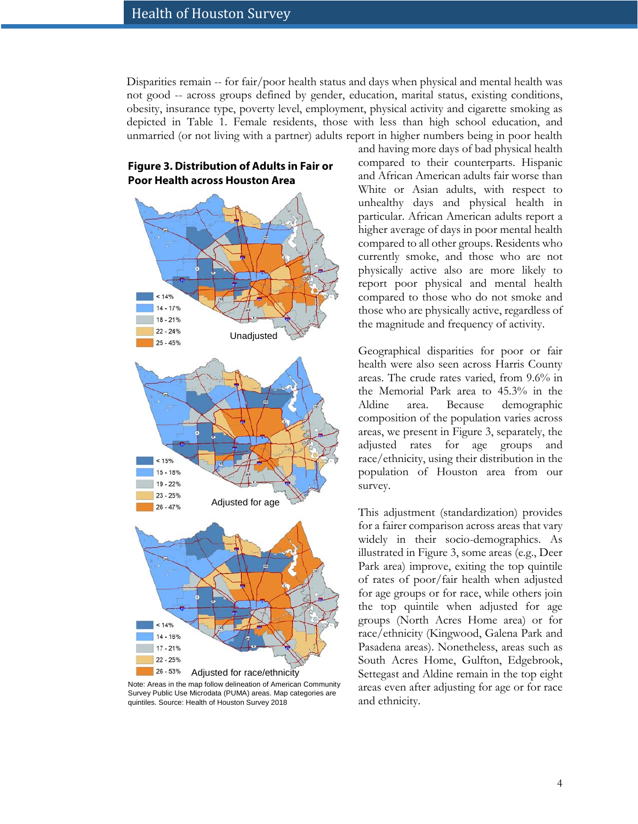**Figure 3. Distribution of Adults in Fair or** 

**Poor Health across Houston Area** 

Disparities remain -- for fair/poor health status and days when physical and mental health was not good -- across groups defined by gender, education, marital status, existing conditions, obesity, insurance type, poverty level, employment, physical activity and cigarette smoking as depicted in Table 1. Female residents, those with less than high school education, and unmarried (or not living with a partner) adults report in higher numbers being in poor health

# $14%$  $14 - 17%$ 18 - 21%  $22 - 24%$ Unadjusted  $25 - 45%$  $< 15%$ 15 - 18% 19 - 22%  $23 - 25%$ Adjusted for age  $26 - 47%$  $< 14%$ 14 - 16% 17 - 21%

#### 26 - 53% Adjusted for race/ethnicityNote: Areas in the map follow delineation of American Community Survey Public Use Microdata (PUMA) areas. Map categories are quintiles. Source: Health of Houston Survey 2018

 $22 - 25%$ 

and having more days of bad physical health compared to their counterparts. Hispanic and African American adults fair worse than White or Asian adults, with respect to unhealthy days and physical health in particular. African American adults report a higher average of days in poor mental health compared to all other groups. Residents who currently smoke, and those who are not physically active also are more likely to report poor physical and mental health compared to those who do not smoke and those who are physically active, regardless of the magnitude and frequency of activity.

Geographical disparities for poor or fair health were also seen across Harris County areas. The crude rates varied, from 9.6% in the Memorial Park area to 45.3% in the Aldine area. Because demographic composition of the population varies across areas, we present in Figure 3, separately, the adjusted rates for age groups and race/ethnicity, using their distribution in the population of Houston area from our survey.

This adjustment (standardization) provides for a fairer comparison across areas that vary widely in their socio-demographics. As illustrated in Figure 3, some areas (e.g., Deer Park area) improve, exiting the top quintile of rates of poor/fair health when adjusted for age groups or for race, while others join the top quintile when adjusted for age groups (North Acres Home area) or for race/ethnicity (Kingwood, Galena Park and Pasadena areas). Nonetheless, areas such as South Acres Home, Gulfton, Edgebrook, Settegast and Aldine remain in the top eight areas even after adjusting for age or for race and ethnicity.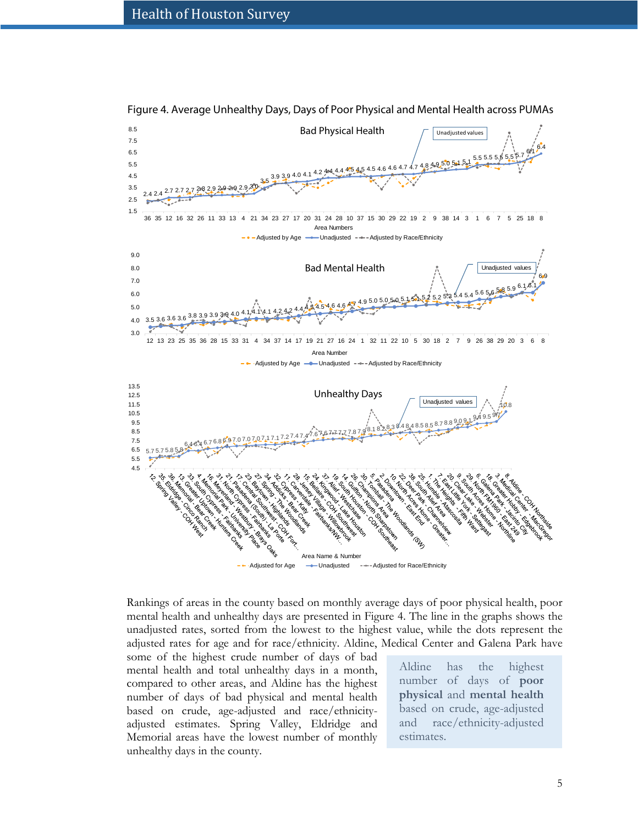

Figure 4. Average Unhealthy Days, Days of Poor Physical and Mental Health across PUMAs

Rankings of areas in the county based on monthly average days of poor physical health, poor mental health and unhealthy days are presented in Figure 4. The line in the graphs shows the unadjusted rates, sorted from the lowest to the highest value, while the dots represent the adjusted rates for age and for race/ethnicity. Aldine, Medical Center and Galena Park have

some of the highest crude number of days of bad mental health and total unhealthy days in a month, compared to other areas, and Aldine has the highest number of days of bad physical and mental health based on crude, age-adjusted and race/ethnicityadjusted estimates. Spring Valley, Eldridge and Memorial areas have the lowest number of monthly unhealthy days in the county.

Aldine has the highest number of days of **poor physical** and **mental health** based on crude, age-adjusted and race/ethnicity-adjusted estimates.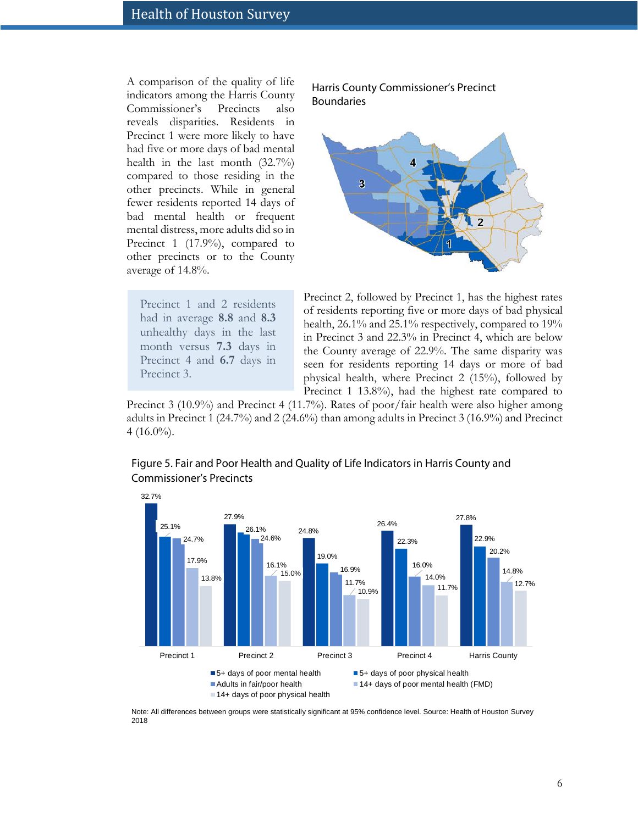A comparison of the quality of life indicators among the Harris County Commissioner's Precincts also reveals disparities. Residents in Precinct 1 were more likely to have had five or more days of bad mental health in the last month (32.7%) compared to those residing in the other precincts. While in general fewer residents reported 14 days of bad mental health or frequent mental distress, more adults did so in Precinct 1 (17.9%), compared to other precincts or to the County average of 14.8%.

Precinct 1 and 2 residents had in average **8.8** and **8.3**  unhealthy days in the last month versus **7.3** days in Precinct 4 and **6.7** days in Precinct 3.

Harris County Commissioner's Precinct Boundaries



Precinct 2, followed by Precinct 1, has the highest rates of residents reporting five or more days of bad physical health, 26.1% and 25.1% respectively, compared to 19% in Precinct 3 and 22.3% in Precinct 4, which are below the County average of 22.9%. The same disparity was seen for residents reporting 14 days or more of bad physical health, where Precinct 2 (15%), followed by Precinct 1 13.8%), had the highest rate compared to

Precinct 3 (10.9%) and Precinct 4 (11.7%). Rates of poor/fair health were also higher among adults in Precinct 1 (24.7%) and 2 (24.6%) than among adults in Precinct 3 (16.9%) and Precinct  $4(16.0\%)$ .



Figure 5. Fair and Poor Health and Quality of Life Indicators in Harris County and Commissioner's Precincts

Note: All differences between groups were statistically significant at 95% confidence level. Source: Health of Houston Survey 2018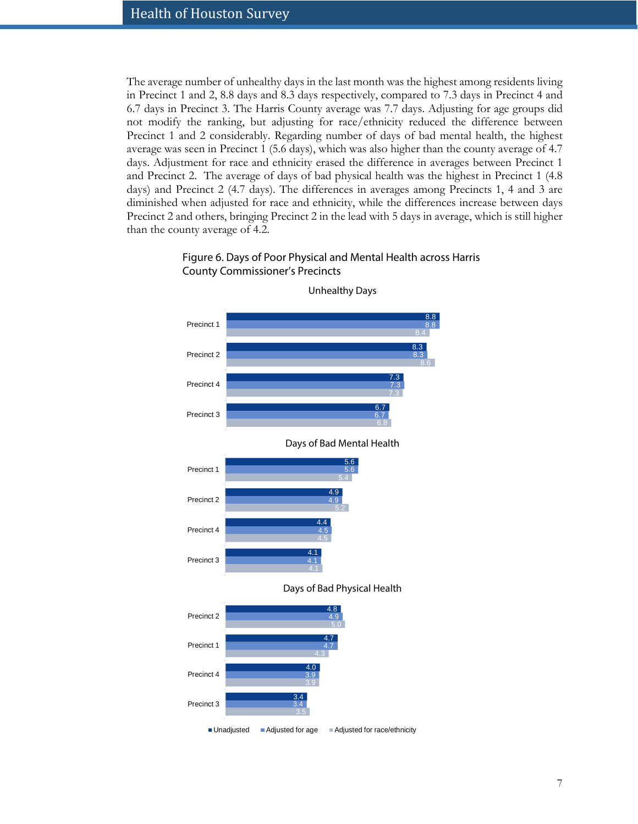The average number of unhealthy days in the last month was the highest among residents living in Precinct 1 and 2, 8.8 days and 8.3 days respectively, compared to 7.3 days in Precinct 4 and 6.7 days in Precinct 3. The Harris County average was 7.7 days. Adjusting for age groups did not modify the ranking, but adjusting for race/ethnicity reduced the difference between Precinct 1 and 2 considerably. Regarding number of days of bad mental health, the highest average was seen in Precinct 1 (5.6 days), which was also higher than the county average of 4.7 days. Adjustment for race and ethnicity erased the difference in averages between Precinct 1 and Precinct 2. The average of days of bad physical health was the highest in Precinct 1 (4.8 days) and Precinct 2 (4.7 days). The differences in averages among Precincts 1, 4 and 3 are diminished when adjusted for race and ethnicity, while the differences increase between days Precinct 2 and others, bringing Precinct 2 in the lead with 5 days in average, which is still higher than the county average of 4.2.

## Figure 6. Days of Poor Physical and Mental Health across Harris County Commissioner's Precincts